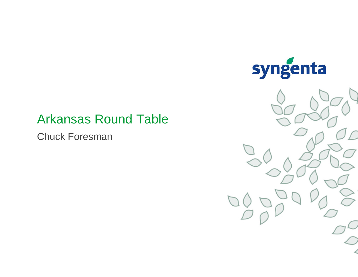

## Arkansas Round Table

Chuck Foresman

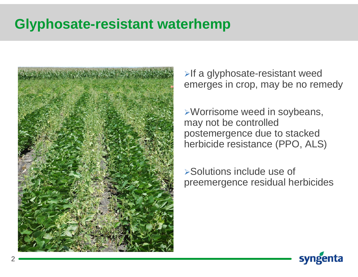## **Glyphosate-resistant waterhemp**



<sup>¾</sup>If a glyphosate-resistant weed emerges in crop, may be no remedy

<sup>¾</sup>Worrisome weed in soybeans, may not be controlled postemergence due to stacked herbicide resistance (PPO, ALS)

**≻Solutions include use of** preemergence residual herbicides

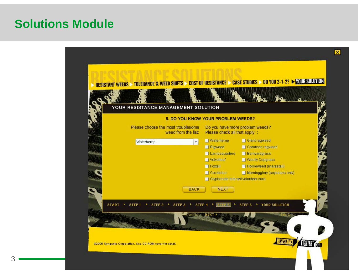## **Solutions Module**

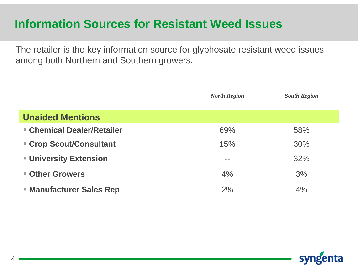## **Information Sources for Resistant Weed Issues**

The retailer is the key information source for glyphosate resistant weed issues among both Northern and Southern growers.

|                                           | <b>North Region</b> | <b>South Region</b> |
|-------------------------------------------|---------------------|---------------------|
| <b>Unaided Mentions</b>                   |                     |                     |
| <b>Example 2 Chemical Dealer/Retailer</b> | 69%                 | 58%                 |
| ■ Crop Scout/Consultant                   | 15%                 | 30%                 |
| <b>University Extension</b>               | $=$ $=$             | 32%                 |
| <b>Other Growers</b>                      | 4%                  | 3%                  |
| <b>E</b> Manufacturer Sales Rep           | 2%                  | 4%                  |



4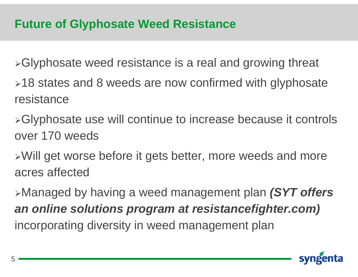<sup>¾</sup>Glyphosate weed resistance is a real and growing threat

<sup>¾</sup>18 states and 8 weeds are now confirmed with glyphosate resistance

<sup>¾</sup>Glyphosate use will continue to increase because it controls over 170 weeds

<sup>¾</sup>Will get worse before it gets better, more weeds and more acres affected

<sup>¾</sup>Managed by having a weed management plan *(SYT offers an online solutions program at resistancefighter.com)* incorporating diversity in weed management plan